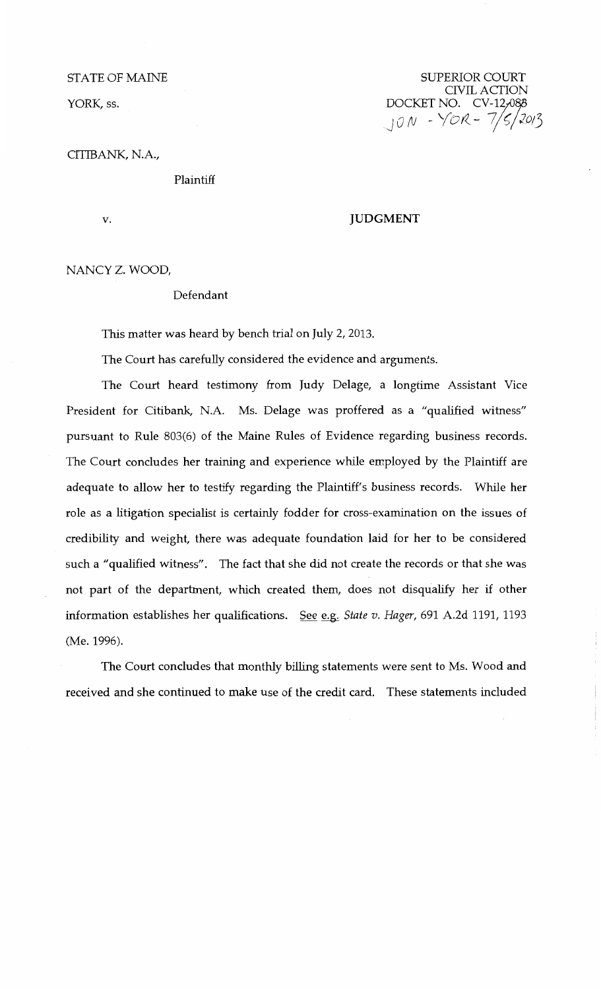STATE OF MAINE

YORK, ss.

SUPERIOR COURT CIVIL ACTION DOCKET NO. CV-12,088 J *o (V* - Yor<\_- 7;~/lo;3

CITIBANK, N.A.,

Plaintiff

v.

## **JUDGMENT**

NANCY Z. WOOD,

## Defendant

This matter was heard by bench trial on July 2, 2013.

The Court has carefully considered the evidence and arguments.

The Court heard testimony from Judy Delage, a longtime Assistant Vice President for Citibank, N.A. Ms. Delage was proffered as a "qualified witness" pursuant to Rule 803(6) of the Maine Rules of Evidence regarding business records. The Court concludes her training and experience while employed by the Plaintiff are adequate to allow her to testify regarding the Plaintiff's business records. While her role as a litigation specialist is certainly fodder for cross-examination on the issues of credibility and weight, there was adequate foundation laid for her to be considered such a "qualified witness". The fact that she did not create the records or that she was not part of the department, which created them, does not disqualify her if other information establishes her qualifications. See e.g. State v. Hager, 691 A.2d 1191, 1193 (Me. 1996).

The Court concludes that monthly billing statements were sent to Ms. Wood and received and she continued to make use of the credit card. These statements included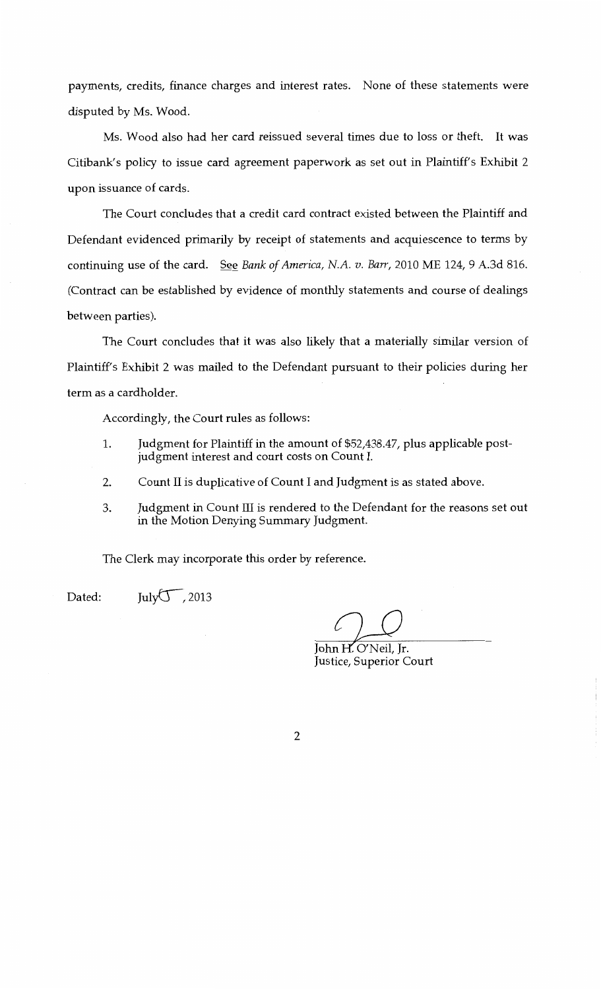payments, credits, finance charges and interest rates. None of these statements were disputed by Ms. Wood.

Ms. Wood also had her card reissued several times due to loss or theft. It was Citibank's policy to issue card agreement paperwork as set out in Plaintiff's Exhibit 2 upon issuance of cards.

The Court concludes that a credit card contract existed between the Plaintiff and Defendant evidenced primarily by receipt of statements and acquiescence to terms by continuing use of the card. See *Bank of America, N.A. v. Barr,* 2010 ME 124, 9 A.3d 816. (Contract can be established by evidence of monthly statements and course of dealings between parties).

The Court concludes that it was also likely that a materially similar version of Plaintiff's Exhibit 2 was mailed to the Defendant pursuant to their policies during her term as a cardholder.

Accordingly, the Court rules as follows:

- 1. Judgment for Plaintiff in the amount of \$52,438.47, plus applicable postjudgment interest and court costs on Count I.
- 2. Count II is duplicative of Count I and Judgment is as stated above.
- 3. Judgment in Count III is rendered to the Defendant for the reasons set out in the Motion Denying Summary Judgment.

The Clerk may incorporate this order by reference.

Dated:

July $\overline{\mathcal{U}}$ , 2013

John H. O'Neil. Ir. Justice, Superior Court